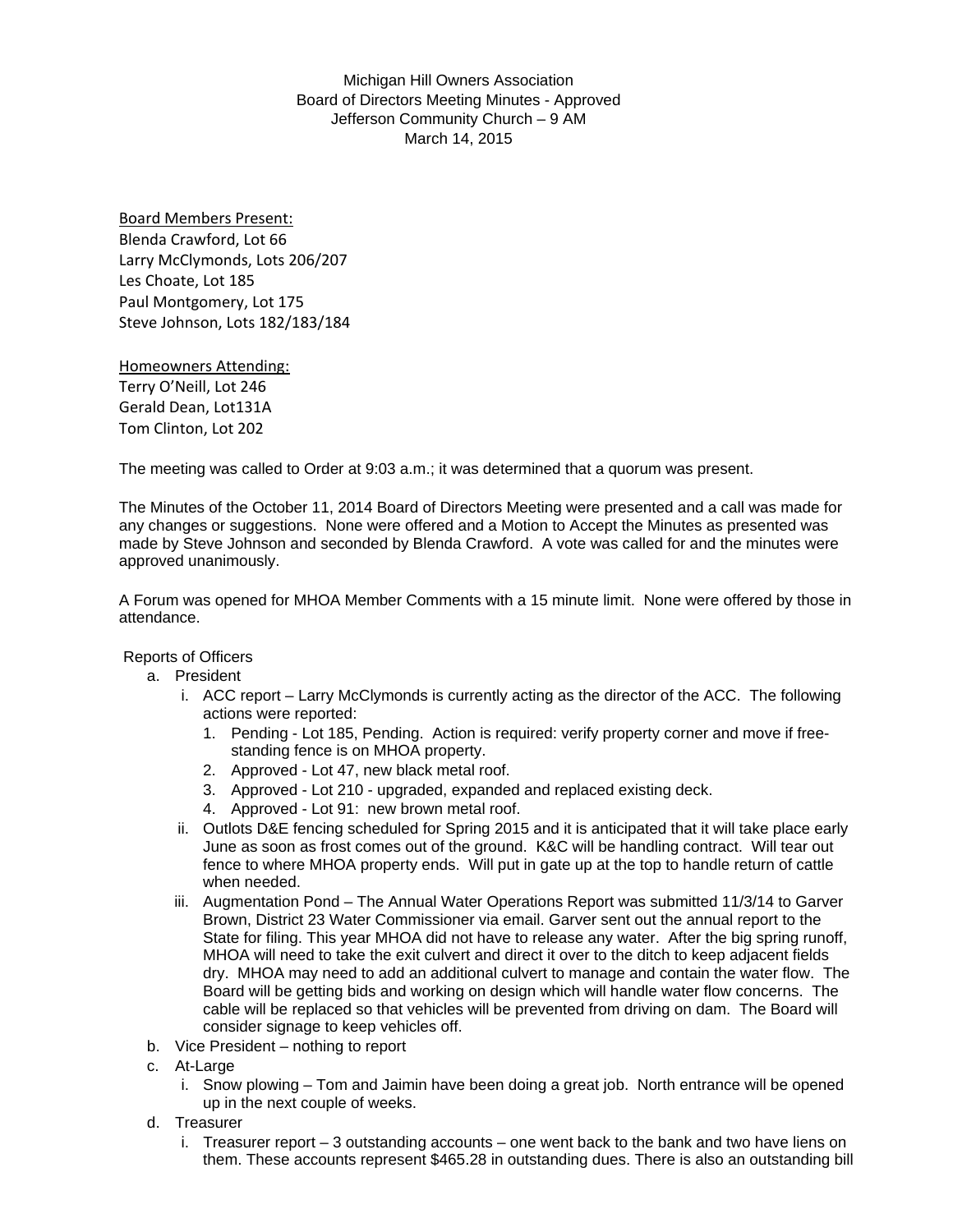Michigan Hill Owners Association Board of Directors Meeting Minutes - Approved Jefferson Community Church – 9 AM March 14, 2015

Board Members Present: Blenda Crawford, Lot 66 Larry McClymonds, Lots 206/207 Les Choate, Lot 185 Paul Montgomery, Lot 175 Steve Johnson, Lots 182/183/184

Homeowners Attending: Terry O'Neill, Lot 246 Gerald Dean, Lot131A Tom Clinton, Lot 202

The meeting was called to Order at 9:03 a.m.; it was determined that a quorum was present.

The Minutes of the October 11, 2014 Board of Directors Meeting were presented and a call was made for any changes or suggestions. None were offered and a Motion to Accept the Minutes as presented was made by Steve Johnson and seconded by Blenda Crawford. A vote was called for and the minutes were approved unanimously.

A Forum was opened for MHOA Member Comments with a 15 minute limit. None were offered by those in attendance.

Reports of Officers

- a. President
	- i. ACC report Larry McClymonds is currently acting as the director of the ACC. The following actions were reported:
		- 1. Pending Lot 185, Pending. Action is required: verify property corner and move if freestanding fence is on MHOA property.
		- 2. Approved Lot 47, new black metal roof.
		- 3. Approved Lot 210 upgraded, expanded and replaced existing deck.
		- 4. Approved Lot 91: new brown metal roof.
	- ii. Outlots D&E fencing scheduled for Spring 2015 and it is anticipated that it will take place early June as soon as frost comes out of the ground. K&C will be handling contract. Will tear out fence to where MHOA property ends. Will put in gate up at the top to handle return of cattle when needed.
	- iii. Augmentation Pond The Annual Water Operations Report was submitted 11/3/14 to Garver Brown, District 23 Water Commissioner via email. Garver sent out the annual report to the State for filing. This year MHOA did not have to release any water. After the big spring runoff, MHOA will need to take the exit culvert and direct it over to the ditch to keep adjacent fields dry. MHOA may need to add an additional culvert to manage and contain the water flow. The Board will be getting bids and working on design which will handle water flow concerns. The cable will be replaced so that vehicles will be prevented from driving on dam. The Board will consider signage to keep vehicles off.
- b. Vice President nothing to report
- c. At-Large
	- i. Snow plowing Tom and Jaimin have been doing a great job. North entrance will be opened up in the next couple of weeks.
- d. Treasurer
	- i. Treasurer report 3 outstanding accounts one went back to the bank and two have liens on them. These accounts represent \$465.28 in outstanding dues. There is also an outstanding bill